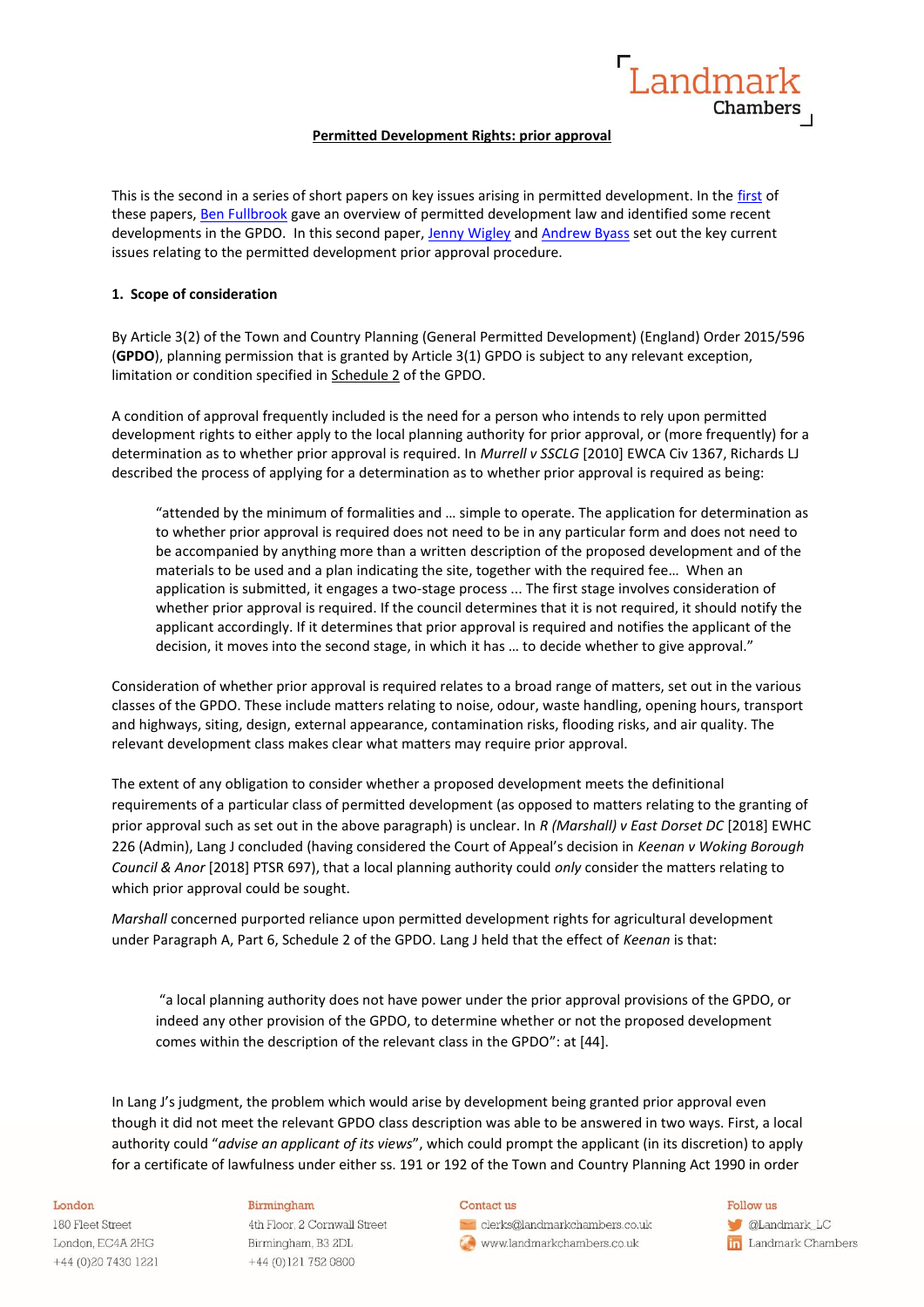

## **Permitted Development Rights: prior approval**

This is the second in a series of short papers on key issues arising in permitted development. In the [first](https://www.landmarkchambers.co.uk/permitted-development-key-issues/) of these papers, [Ben Fullbrook](https://www.landmarkchambers.co.uk/people/ben-fullbrook/) gave an overview of permitted development law and identified some recent developments in the GPDO. In this second paper, [Jenny Wigley](https://www.landmarkchambers.co.uk/people/jenny-wigley/) and [Andrew Byass](https://www.landmarkchambers.co.uk/people/andrew-byass/) set out the key current issues relating to the permitted development prior approval procedure.

## **1. Scope of consideration**

By Article 3(2) of the Town and Country Planning (General Permitted Development) (England) Order 2015/596 (**GPDO**), planning permission that is granted by Article 3(1) GPDO is subject to any relevant exception, limitation or condition specified in [Schedule 2](https://uk.westlaw.com/Document/I846A42E0D82A11E4AE5DA36A3DA01F57/View/FullText.html?originationContext=document&transitionType=DocumentItem&contextData=(sc.DocLink)) of the GPDO.

A condition of approval frequently included is the need for a person who intends to rely upon permitted development rights to either apply to the local planning authority for prior approval, or (more frequently) for a determination as to whether prior approval is required. In *Murrell v SSCLG* [2010] EWCA Civ 1367, Richards LJ described the process of applying for a determination as to whether prior approval is required as being:

"attended by the minimum of formalities and … simple to operate. The application for determination as to whether prior approval is required does not need to be in any particular form and does not need to be accompanied by anything more than a written description of the proposed development and of the materials to be used and a plan indicating the site, together with the required fee… When an application is submitted, it engages a two-stage process ... The first stage involves consideration of whether prior approval is required. If the council determines that it is not required, it should notify the applicant accordingly. If it determines that prior approval is required and notifies the applicant of the decision, it moves into the second stage, in which it has … to decide whether to give approval."

Consideration of whether prior approval is required relates to a broad range of matters, set out in the various classes of the GPDO. These include matters relating to noise, odour, waste handling, opening hours, transport and highways, siting, design, external appearance, contamination risks, flooding risks, and air quality. The relevant development class makes clear what matters may require prior approval.

The extent of any obligation to consider whether a proposed development meets the definitional requirements of a particular class of permitted development (as opposed to matters relating to the granting of prior approval such as set out in the above paragraph) is unclear. In *R (Marshall) v East Dorset DC* [2018] EWHC 226 (Admin), Lang J concluded (having considered the Court of Appeal's decision in *Keenan v Woking Borough Council & Anor* [2018] PTSR 697), that a local planning authority could *only* consider the matters relating to which prior approval could be sought.

*Marshall* concerned purported reliance upon permitted development rights for agricultural development under Paragraph A, Part 6, Schedule 2 of the GPDO. Lang J held that the effect of *Keenan* is that:

"a local planning authority does not have power under the prior approval provisions of the GPDO, or indeed any other provision of the GPDO, to determine whether or not the proposed development comes within the description of the relevant class in the GPDO": at [44].

In Lang J's judgment, the problem which would arise by development being granted prior approval even though it did not meet the relevant GPDO class description was able to be answered in two ways. First, a local authority could "*advise an applicant of its views*", which could prompt the applicant (in its discretion) to apply for a certificate of lawfulness under either ss. 191 or 192 of the Town and Country Planning Act 1990 in order

### London

180 Fleet Street London, EC4A 2HG +44 (0)20 7430 1221

### Birmingham

4th Floor, 2 Cornwall Street Birmingham, B3 2DL +44 (0)121 752 0800

### Contact us

clerks@landmarkchambers.co.uk www.landmarkchambers.co.uk

Follow us **C**Landmark\_LC **in** Landmark Chambers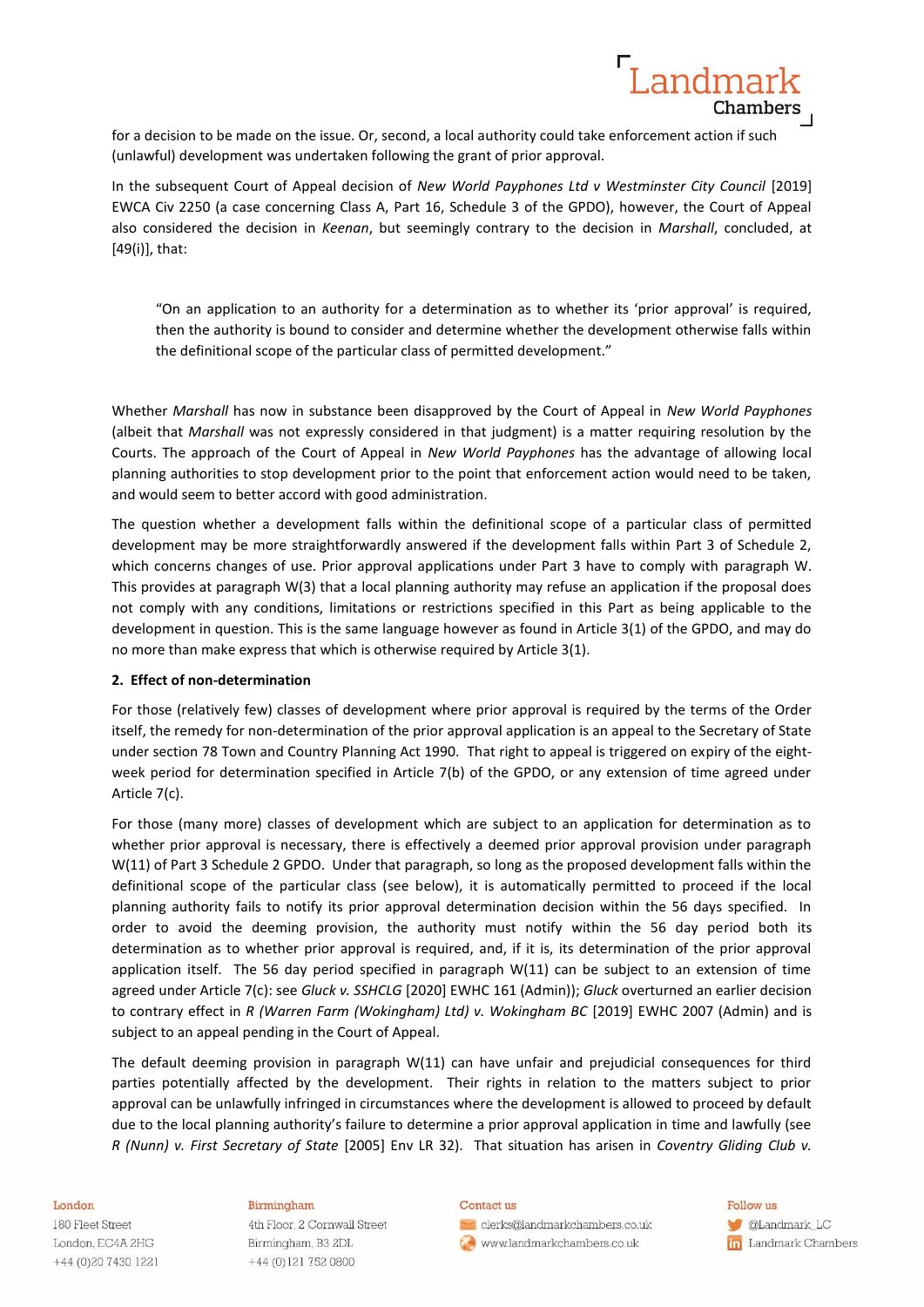for a decision to be made on the issue. Or, second, a local authority could take enforcement action if such (unlawful) development was undertaken following the grant of prior approval.

In the subsequent Court of Appeal decision of *New World Payphones Ltd v Westminster City Council* [2019] EWCA Civ 2250 (a case concerning Class A, Part 16, Schedule 3 of the GPDO), however, the Court of Appeal also considered the decision in *Keenan*, but seemingly contrary to the decision in *Marshall*, concluded, at [49(i)], that:

Landmar

Chambers

"On an application to an authority for a determination as to whether its 'prior approval' is required, then the authority is bound to consider and determine whether the development otherwise falls within the definitional scope of the particular class of permitted development."

Whether *Marshall* has now in substance been disapproved by the Court of Appeal in *New World Payphones* (albeit that *Marshall* was not expressly considered in that judgment) is a matter requiring resolution by the Courts. The approach of the Court of Appeal in *New World Payphones* has the advantage of allowing local planning authorities to stop development prior to the point that enforcement action would need to be taken, and would seem to better accord with good administration.

The question whether a development falls within the definitional scope of a particular class of permitted development may be more straightforwardly answered if the development falls within Part 3 of Schedule 2, which concerns changes of use. Prior approval applications under Part 3 have to comply with paragraph W. This provides at paragraph W(3) that a local planning authority may refuse an application if the proposal does not comply with any conditions, limitations or restrictions specified in this Part as being applicable to the development in question. This is the same language however as found in Article 3(1) of the GPDO, and may do no more than make express that which is otherwise required by Article 3(1).

### **2. Effect of non-determination**

For those (relatively few) classes of development where prior approval is required by the terms of the Order itself, the remedy for non-determination of the prior approval application is an appeal to the Secretary of State under section 78 Town and Country Planning Act 1990. That right to appeal is triggered on expiry of the eightweek period for determination specified in Article 7(b) of the GPDO, or any extension of time agreed under Article 7(c).

For those (many more) classes of development which are subject to an application for determination as to whether prior approval is necessary, there is effectively a deemed prior approval provision under paragraph W(11) of Part 3 Schedule 2 GPDO. Under that paragraph, so long as the proposed development falls within the definitional scope of the particular class (see below), it is automatically permitted to proceed if the local planning authority fails to notify its prior approval determination decision within the 56 days specified. In order to avoid the deeming provision, the authority must notify within the 56 day period both its determination as to whether prior approval is required, and, if it is, its determination of the prior approval application itself. The 56 day period specified in paragraph W(11) can be subject to an extension of time agreed under Article 7(c): see *Gluck v. SSHCLG* [2020] EWHC 161 (Admin)); *Gluck* overturned an earlier decision to contrary effect in *R (Warren Farm (Wokingham) Ltd) v. Wokingham BC* [2019] EWHC 2007 (Admin) and is subject to an appeal pending in the Court of Appeal.

The default deeming provision in paragraph W(11) can have unfair and prejudicial consequences for third parties potentially affected by the development. Their rights in relation to the matters subject to prior approval can be unlawfully infringed in circumstances where the development is allowed to proceed by default due to the local planning authority's failure to determine a prior approval application in time and lawfully (see *R (Nunn) v. First Secretary of State* [2005] Env LR 32). That situation has arisen in *Coventry Gliding Club v.* 

#### London

180 Fleet Street London, EC4A 2HG +44 (0)20 7430 1221

### Birmingham

4th Floor, 2 Cornwall Street Birmingham, B3 2DL +44 (0)121 752 0800

#### Contact us

clerks@landmarkchambers.co.uk www.landmarkchambers.co.uk